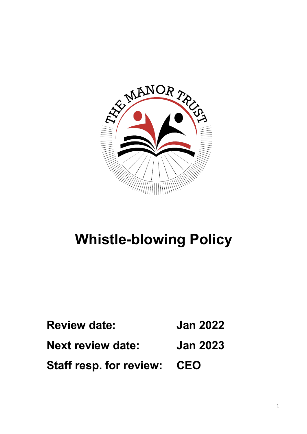

# **Whistle-blowing Policy**

**Review date: Jan 2022 Next review date: Jan 2023 Staff resp. for review: CEO**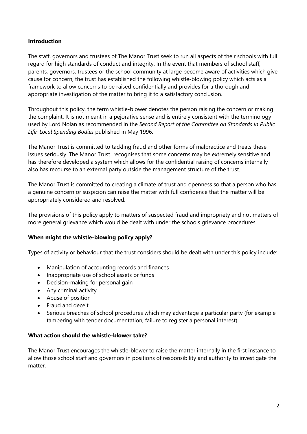# **Introduction**

The staff, governors and trustees of The Manor Trust seek to run all aspects of their schools with full regard for high standards of conduct and integrity. In the event that members of school staff, parents, governors, trustees or the school community at large become aware of activities which give cause for concern, the trust has established the following whistle-blowing policy which acts as a framework to allow concerns to be raised confidentially and provides for a thorough and appropriate investigation of the matter to bring it to a satisfactory conclusion.

Throughout this policy, the term whistle-blower denotes the person raising the concern or making the complaint. It is not meant in a pejorative sense and is entirely consistent with the terminology used by Lord Nolan as recommended in the *Second Report of the Committee on Standards in Public Life: Local Spending Bodies* published in May 1996.

The Manor Trust is committed to tackling fraud and other forms of malpractice and treats these issues seriously. The Manor Trust recognises that some concerns may be extremely sensitive and has therefore developed a system which allows for the confidential raising of concerns internally also has recourse to an external party outside the management structure of the trust.

The Manor Trust is committed to creating a climate of trust and openness so that a person who has a genuine concern or suspicion can raise the matter with full confidence that the matter will be appropriately considered and resolved.

The provisions of this policy apply to matters of suspected fraud and impropriety and not matters of more general grievance which would be dealt with under the schools grievance procedures.

#### **When might the whistle-blowing policy apply?**

Types of activity or behaviour that the trust considers should be dealt with under this policy include:

- Manipulation of accounting records and finances
- Inappropriate use of school assets or funds
- Decision-making for personal gain
- Any criminal activity
- Abuse of position
- Fraud and deceit
- Serious breaches of school procedures which may advantage a particular party (for example tampering with tender documentation, failure to register a personal interest)

#### **What action should the whistle-blower take?**

The Manor Trust encourages the whistle-blower to raise the matter internally in the first instance to allow those school staff and governors in positions of responsibility and authority to investigate the matter.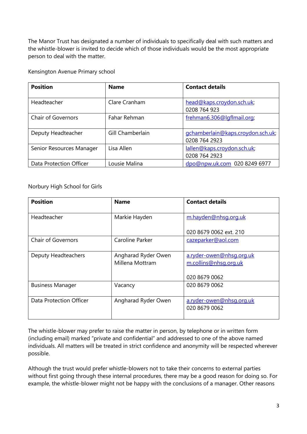The Manor Trust has designated a number of individuals to specifically deal with such matters and the whistle-blower is invited to decide which of those individuals would be the most appropriate person to deal with the matter.

Kensington Avenue Primary school

| <b>Position</b>           | <b>Name</b>      | <b>Contact details</b>                             |
|---------------------------|------------------|----------------------------------------------------|
| Headteacher               | Clare Cranham    | head@kaps.croydon.sch.uk;<br>0208 764 923          |
| <b>Chair of Governors</b> | Fahar Rehman     | frehman6.306@lgflmail.org;                         |
| Deputy Headteacher        | Gill Chamberlain | gchamberlain@kaps.croydon.sch.uk;<br>0208 764 2923 |
| Senior Resources Manager  | Lisa Allen       | lallen@kaps.croydon.sch.uk;<br>0208 764 2923       |
| Data Protection Officer   | Lousie Malina    | dpo@npw.uk.com 020 8249 6977                       |

Norbury High School for Girls

| <b>Position</b>           | <b>Name</b>                            | <b>Contact details</b>                                             |
|---------------------------|----------------------------------------|--------------------------------------------------------------------|
| Headteacher               | Markie Hayden                          | m.hayden@nhsg.org.uk                                               |
|                           |                                        | 020 8679 0062 ext. 210                                             |
| <b>Chair of Governors</b> | Caroline Parker                        | cazeparker@aol.com                                                 |
| Deputy Headteachers       | Angharad Ryder Owen<br>Millena Mottram | a.ryder-owen@nhsq.org.uk<br>m.collins@nhsg.org.uk<br>020 8679 0062 |
| <b>Business Manager</b>   | Vacancy                                | 020 8679 0062                                                      |
| Data Protection Officer   | Angharad Ryder Owen                    | a.ryder-owen@nhsg.org.uk<br>020 8679 0062                          |

The whistle-blower may prefer to raise the matter in person, by telephone or in written form (including email) marked "private and confidential" and addressed to one of the above named individuals. All matters will be treated in strict confidence and anonymity will be respected wherever possible.

Although the trust would prefer whistle-blowers not to take their concerns to external parties without first going through these internal procedures, there may be a good reason for doing so. For example, the whistle-blower might not be happy with the conclusions of a manager. Other reasons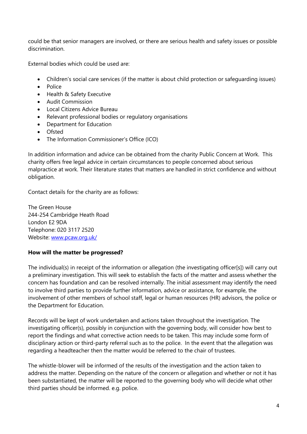could be that senior managers are involved, or there are serious health and safety issues or possible discrimination.

External bodies which could be used are:

- Children's social care services (if the matter is about child protection or safeguarding issues)
- Police
- Health & Safety Executive
- Audit Commission
- Local Citizens Advice Bureau
- Relevant professional bodies or regulatory organisations
- Department for Education
- Ofsted
- The Information Commissioner's Office (ICO)

In addition information and advice can be obtained from the charity Public Concern at Work. This charity offers free legal advice in certain circumstances to people concerned about serious malpractice at work. Their literature states that matters are handled in strict confidence and without obligation.

Contact details for the charity are as follows:

The Green House 244-254 Cambridge Heath Road London E2 9DA Telephone: 020 3117 2520 Website: www.pcaw.org.uk/

# **How will the matter be progressed?**

The individual(s) in receipt of the information or allegation (the investigating officer[s]) will carry out a preliminary investigation. This will seek to establish the facts of the matter and assess whether the concern has foundation and can be resolved internally. The initial assessment may identify the need to involve third parties to provide further information, advice or assistance, for example, the involvement of other members of school staff, legal or human resources (HR) advisors, the police or the Department for Education.

Records will be kept of work undertaken and actions taken throughout the investigation. The investigating officer(s), possibly in conjunction with the governing body, will consider how best to report the findings and what corrective action needs to be taken. This may include some form of disciplinary action or third-party referral such as to the police. In the event that the allegation was regarding a headteacher then the matter would be referred to the chair of trustees.

The whistle-blower will be informed of the results of the investigation and the action taken to address the matter. Depending on the nature of the concern or allegation and whether or not it has been substantiated, the matter will be reported to the governing body who will decide what other third parties should be informed. e.g. police.